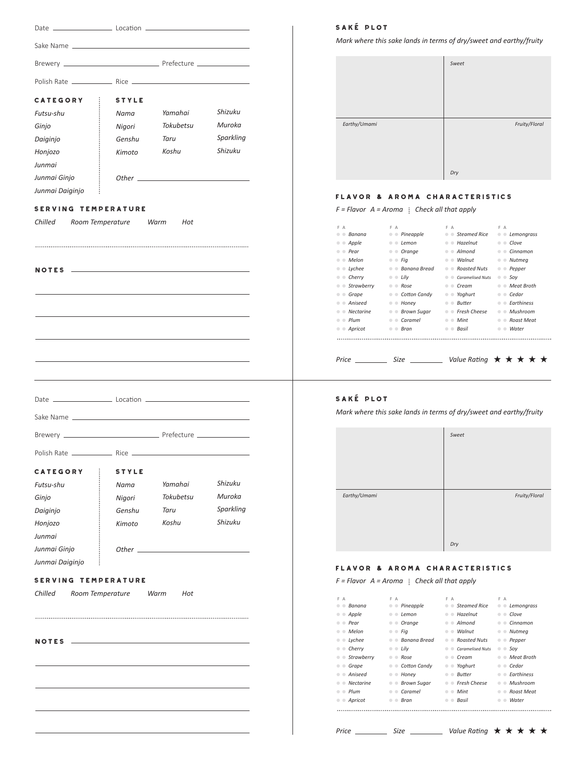| <b>CATEGORY</b>             | STYLE                      |                  |                      |
|-----------------------------|----------------------------|------------------|----------------------|
| Futsu-shu                   | Nama                       | Yamahai          | Shizuku              |
| Ginjo                       | Nigori                     | Tokubetsu        | Muroka               |
| Daiginjo                    | Genshu                     | Taru             | Sparkling            |
| Honjozo                     | Kimoto                     | Koshu            | Shizuku              |
| Junmai                      |                            |                  |                      |
| Junmai Ginjo                |                            |                  |                      |
| $\vdots$<br>Junmai Daiginjo |                            |                  |                      |
|                             |                            |                  |                      |
|                             |                            |                  |                      |
|                             |                            |                  |                      |
|                             |                            |                  |                      |
| <b>CATEGORY</b>             | <b>STYLE</b>               |                  |                      |
| Futsu-shu                   | Nama                       | Yamahai          | Shizuku              |
| Ginjo                       | Nigori                     | <b>Tokubetsu</b> | Muroka               |
| Daiginjo                    | Genshu                     | Taru             | Sparkling<br>Shizuku |
| Honjozo                     | Kimoto                     | Koshu            |                      |
| Junmai<br>Junmai Ginjo      |                            |                  |                      |
| Junmai Daiginjo<br>i        | Other $\rule{1em}{0.15mm}$ |                  |                      |
|                             |                            |                  |                      |
| <b>SERVING</b>              | <b>TEMPERATURE</b>         |                  |                      |
|                             | Room Temperature           | Warm<br>Hot      |                      |
| Chilled                     |                            |                  |                      |
|                             |                            |                  |                      |
|                             |                            |                  |                      |
| <b>NOTES</b>                |                            |                  |                      |
|                             |                            |                  |                      |
|                             |                            |                  |                      |
|                             |                            |                  |                      |

# SakÉ plot

*Mark where this sake lands in terms of dry/sweet and earthy/fruity*

|              | Sweet |               |
|--------------|-------|---------------|
| Earthy/Umami | Dry   | Fruity/Floral |

# flavor & aroma characteristics

*F* = *Flavor*  $A = A$ *roma* : *Check all that apply* 

| F A                                                          | F A                                                                        | F A                                                        | F A                                                                      |
|--------------------------------------------------------------|----------------------------------------------------------------------------|------------------------------------------------------------|--------------------------------------------------------------------------|
| Banana                                                       | Pineapple<br>$\bullet$ $\bullet$                                           | Steamed Rice<br>۰                                          | Lemongrass<br>$\qquad \qquad \bullet$<br>$\bigcirc$                      |
| Apple<br>$\qquad \qquad \qquad \qquad \qquad$                | $\bullet$ Lemon<br>$\qquad \qquad \blacksquare$                            | $\bullet$ Hazelnut                                         | Clove<br>$\qquad \qquad \Box$                                            |
| Pear<br>$\bigcirc$                                           | Orange<br>۰                                                                | $\bullet$ Almond                                           | Cinnamon<br>$\bullet$<br>$\bigcirc$                                      |
| Melon<br>$\blacksquare$                                      | $\bullet$ $\bullet$ Fig                                                    | Walnut<br>$\begin{array}{c} \bullet & \bullet \end{array}$ | Nutmeg<br>$\bullet$ $\bullet$                                            |
| Lychee<br>$\circ$                                            | <b>Banana Bread</b><br>$\qquad \qquad \qquad \Box$<br>$\qquad \qquad \Box$ | • Roasted Nuts                                             | Pepper<br>$\color{black} \bullet$<br>$\blacksquare$                      |
| Cherry<br>$\bullet$<br>$\bigcirc$                            | $\bullet$ $\bullet$ Lily                                                   | <b>Caramelised Nuts</b><br>$\triangle$                     | Soy<br>$\bullet$ $\bullet$                                               |
| Strawberry<br>$\qquad \qquad \Box$                           | $\bullet$ $Rose$                                                           | Crem<br>۰                                                  | Meat Broth<br>۰<br>$\bullet$                                             |
| Grape                                                        | <b>Cotton Candy</b><br>$\bullet$                                           | Yoghurt<br>۰                                               | ● Cedar                                                                  |
| Aniseed<br>۰                                                 | $\bullet$ Honey<br>$\bullet$                                               | <b>Butter</b><br>$\bullet$<br>$\blacksquare$               | <b>Farthiness</b><br>$\bullet$ $\bullet$                                 |
| Nectarine<br>$\bullet$<br>$\bigcirc$                         | Brown Sugar<br>$\qquad \qquad \circ$<br>$\qquad \qquad \circ$              | $\bullet$ $\bullet$ Fresh Cheese                           | $\bullet$ $\bullet$ Mushroom                                             |
| Plum<br>$\qquad \qquad \Box$<br>$\qquad \qquad \blacksquare$ | Caramel<br>$\bullet$ $\bullet$                                             | $\bullet$ $\bullet$ Mint                                   | Roast Meat<br>$\qquad \qquad \qquad \qquad \Box$<br>$\qquad \qquad \Box$ |
| Apricot<br>۰                                                 | $\bullet$ $\bullet$ Bran                                                   | $\bullet$ $\bullet$ Basil                                  | Water<br>۰<br>$\circ$                                                    |
|                                                              |                                                                            |                                                            |                                                                          |
|                                                              |                                                                            |                                                            |                                                                          |
| Price                                                        | Size                                                                       |                                                            | Value Rating $\star \star \star \star \star$                             |

# SakÉ plot

*Mark where this sake lands in terms of dry/sweet and earthy/fruity*

|              | Sweet |               |
|--------------|-------|---------------|
| Earthy/Umami | Dry   | Fruity/Floral |

# flavor & aroma characteristics

*F* = Flavor  $A = A$ roma : Check all that apply

| F A                                   | F A                                                | F A                                 | F A                                   |
|---------------------------------------|----------------------------------------------------|-------------------------------------|---------------------------------------|
| Banana<br>$\blacksquare$              | $\bullet$ Pineapple                                | ● Steamed Rice<br>۰                 | Lemongrass<br>۰<br>$\circ$            |
| Apple<br>۰<br>$\qquad \qquad \bullet$ | Lemon<br>$\qquad \qquad \bullet$<br>$\blacksquare$ | $\bullet$ $\bullet$ Hazelnut        | Clove<br>$\bullet$<br>$\bigcirc$      |
| • Pear<br>۰                           | Orange<br>۰<br>$\bullet$                           | $\bullet$ Almond                    | Cinnamon<br>۰<br>$\blacksquare$       |
| • Melon<br>$\qquad \qquad \bullet$    | $\bullet$ $\bullet$ Fig                            | Walnut<br>۰<br><b>CO</b>            | Nutmeg<br>۰<br>$\bullet$              |
| Lychee<br>۰<br>۰                      | Banana Bread<br>$\bullet$ $\bullet$                | • Roasted Nuts<br>۰                 | Pepper<br>۰<br>$\circ$                |
| Cherry<br>۰<br>۰                      | $\bullet$ $\bullet$ Lilv                           | <b>Caramelised Nuts</b><br>$\circ$  | Sov<br>$\bullet$ $\bullet$            |
| Strawberry<br>$\bullet$ $\bullet$     | Rose<br>$\circ$                                    | Cream<br>۰<br>$\blacksquare$        | Meat Broth<br>۰<br>$\blacksquare$     |
| Grape<br>۰<br>۰                       | <b>Cotton Candy</b><br>$\bullet$ $\bullet$         | Yoghurt<br>۰<br>$\bullet$           | Cedar<br>$\sqrt{2}$                   |
| Aniseed<br>۰<br>۰                     | Honey<br>۰<br>$\circ$                              | <b>Butter</b><br>۰<br>$\circ$       | <b>Farthiness</b><br>$\Box$<br>۰      |
| <b>Nectarine</b><br>۰                 | <b>Brown Sugar</b><br>۰                            | Fresh Cheese<br>۰<br>$\blacksquare$ | Mushroom<br>۰<br>$\Box$               |
| $\bullet$ $\bullet$ Plum              | Caramel<br>$\bullet$ $\bullet$                     | $\bullet$ $\bullet$ Mint            | Roast Meat<br>$\bigcirc$<br>$\bullet$ |
| Apricot<br>۰                          | Bran<br>۰<br>œ                                     | Basil<br>۰<br>$\blacksquare$        | Water<br>۰                            |
|                                       |                                                    |                                     |                                       |